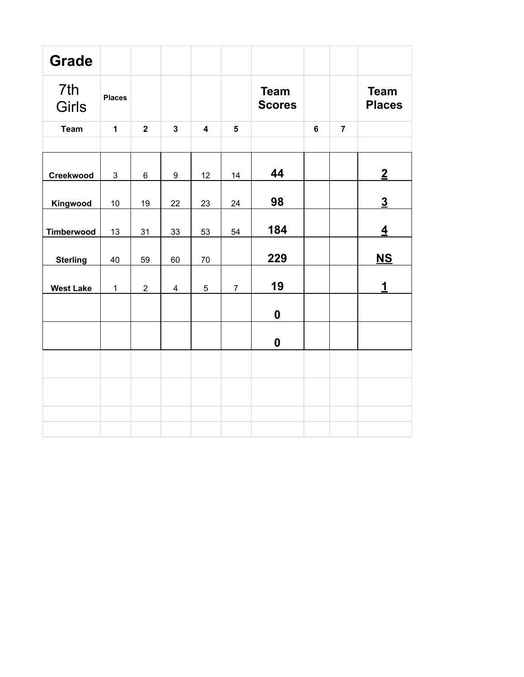| <b>Grade</b>        |               |                |                         |                         |                         |                              |   |                |                              |
|---------------------|---------------|----------------|-------------------------|-------------------------|-------------------------|------------------------------|---|----------------|------------------------------|
| 7th<br><b>Girls</b> | <b>Places</b> |                |                         |                         |                         | <b>Team</b><br><b>Scores</b> |   |                | <b>Team</b><br><b>Places</b> |
| <b>Team</b>         | $\mathbf{1}$  | $\overline{2}$ | $\overline{\mathbf{3}}$ | $\overline{\mathbf{4}}$ | $\overline{\mathbf{5}}$ |                              | 6 | $\overline{7}$ |                              |
|                     |               |                |                         |                         |                         |                              |   |                |                              |
| Creekwood           | $\mathbf{3}$  | $\,6\,$        | 9                       | 12                      | 14                      | 44                           |   |                | $\overline{2}$               |
| Kingwood            | 10            | 19             | 22                      | 23                      | 24                      | 98                           |   |                | $\underline{3}$              |
| Timberwood          | 13            | 31             | 33                      | 53                      | 54                      | 184                          |   |                | $\overline{4}$               |
| <b>Sterling</b>     | 40            | 59             | 60                      | 70                      |                         | 229                          |   |                | $NS$                         |
| <b>West Lake</b>    | $\mathbf{1}$  | $\overline{2}$ | $\overline{4}$          | $\overline{5}$          | $\overline{7}$          | 19                           |   |                | 1                            |
|                     |               |                |                         |                         |                         | $\boldsymbol{0}$             |   |                |                              |
|                     |               |                |                         |                         |                         | $\boldsymbol{0}$             |   |                |                              |
|                     |               |                |                         |                         |                         |                              |   |                |                              |
|                     |               |                |                         |                         |                         |                              |   |                |                              |
|                     |               |                |                         |                         |                         |                              |   |                |                              |
|                     |               |                |                         |                         |                         |                              |   |                |                              |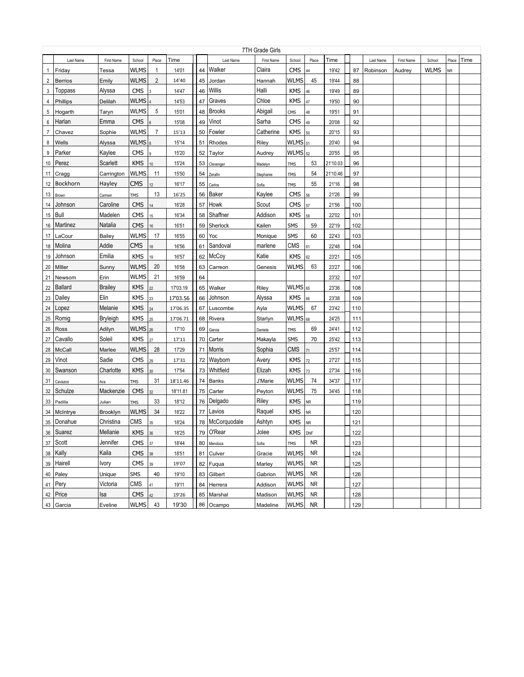|                | 7TH Grade Girls |                 |                      |                 |          |    |                   |            |                      |           |          |     |           |            |             |           |      |
|----------------|-----------------|-----------------|----------------------|-----------------|----------|----|-------------------|------------|----------------------|-----------|----------|-----|-----------|------------|-------------|-----------|------|
|                | Last Name       | First Name      | School               | Place           | Time     |    | Last Name         | First Name | School               | Place     | Time     |     | Last Name | First Name | School      | Place     | Time |
| $\mathbf{1}$   | Friday          | Tessa           | WLMS                 | 1               | 14'01    | 44 | Walker            | Claira     | <b>CMS</b>           | 44        | 19'42    | 87  | Robinson  | Audrey     | <b>WLMS</b> | <b>NR</b> |      |
| $\overline{2}$ | Berrios         | Emily           | WLMS                 | $\overline{2}$  | 14'40    | 45 | Jordan            | Hannah     | WLMS                 | 45        | 19'44    | 88  |           |            |             |           |      |
| 3              | Toppass         | Alyssa          | CMS                  |                 | 14'47    | 46 | Willis            | Halli      | <b>KMS</b>           | 46        | 19'49    | 89  |           |            |             |           |      |
| 4              | Phillips        | Delilah         | WLMS                 |                 | 14'53    | 47 | Graves            | Chloe      | <b>KMS</b>           | 47        | 19'50    | 90  |           |            |             |           |      |
| 5              | Hogarth         | Taryn           | <b>WLMS</b>          | 5               | 15'01    | 48 | <b>Brooks</b>     | Abigail    | CMS                  | 48        | 19'51    | 91  |           |            |             |           |      |
| 6              | Harlan          | Emma            | <b>CMS</b>           |                 | 15'08    | 49 | Vinot             | Sarha      | <b>CMS</b>           | 49        | 20'08    | 92  |           |            |             |           |      |
| 7              | Chavez          | Sophie          | <b>WLMS</b>          | $\overline{7}$  | 15'13    | 50 | Fowler            | Catherine  | <b>KMS</b>           | 50        | 20'15    | 93  |           |            |             |           |      |
| 8              | Wells           | Alyssa          | <b>WLMS</b>          |                 | 15'14    | 51 | Rhodes            | Riley      | WLMS 51              |           | 20'40    | 94  |           |            |             |           |      |
| 9              | Parker          | Kaylee          | CMS                  | 9               | 15'20    | 52 | Taylor            | Audrey     | $WLMS$ <sub>52</sub> |           | 20'55    | 95  |           |            |             |           |      |
| 10             | Perez           | Scarlett        | <b>KMS</b>           | 10              | 15'24    | 53 | Clevenger         | Madelyn    | <b>TMS</b>           | 53        | 21'10.03 | 96  |           |            |             |           |      |
| 11             | Cragg           | Carrington      | <b>WLMS</b>          | 11              | 15'50    | 54 | Zerafin           | Stephanie  | <b>TMS</b>           | 54        | 21'10.46 | 97  |           |            |             |           |      |
| 12             | Bockhorn        | Hayley          | <b>CMS</b>           | 12              | 16'17    | 55 | Carlos            | Sofia      | <b>TMS</b>           | 55        | 21'16    | 98  |           |            |             |           |      |
| 13             | Brown           | Carmen          | <b>TMS</b>           | 13              | 16'25    | 56 | Baker             | Kaylee     | <b>CMS</b>           | 56        | 21'26    | 99  |           |            |             |           |      |
| 14             | Johnson         | Caroline        | <b>CMS</b>           | 14              | 16'28    | 57 | Howk              | Scout      | <b>CMS</b>           | 57        | 21'56    | 100 |           |            |             |           |      |
| 15             | Bull            | Madelen         | <b>CMS</b>           | 15              | 16'34    | 58 | Shaffner          | Addison    | <b>KMS</b>           | 58        | 22'02    | 101 |           |            |             |           |      |
| 16             | Martinez        | Natalia         | <b>CMS</b>           | 16              | 16'51    | 59 | Sherlock          | Kailen     | SMS                  | 59        | 22'19    | 102 |           |            |             |           |      |
| 17             | LaCour          | <b>Bailey</b>   | WLMS                 | 17              | 16'55    | 60 | Yoc               | Monique    | <b>SMS</b>           | 60        | 22'43    | 103 |           |            |             |           |      |
| 18             | Molina          | Addie           | <b>CMS</b>           | 18              | 16'56    | 61 | Sandoval          | marlene    | CMS                  | 61        | 22'48    | 104 |           |            |             |           |      |
| 19             | Johnson         | Emilia          | <b>KMS</b>           | 19              | 16'57    | 62 | McCoy             | Katie      | <b>KMS</b>           | 62        | 23'21    | 105 |           |            |             |           |      |
| 20             | Miller          | Sunny           | <b>WLMS</b>          | 20              | 16'58    | 63 | Carreon           | Genesis    | WLMS                 | 63        | 23'27    | 106 |           |            |             |           |      |
| 21             | Newsom          | Erin            | <b>WLMS</b>          | 21              | 16'59    | 64 |                   |            |                      |           | 23'32    | 107 |           |            |             |           |      |
| 22             | <b>Ballard</b>  | <b>Brailey</b>  | KMS                  | $\overline{22}$ | 17'03.19 | 65 | Walker            | Riley      | WLMS 65              |           | 23'36    | 108 |           |            |             |           |      |
| 23             | Dailey          | Elin            | KMS                  | 23              | 17'03.56 | 66 | Johnson           | Alyssa     | <b>KMS</b>           | 66        | 23'38    | 109 |           |            |             |           |      |
| 24             | Lopez           | Melanie         | KMS                  | 24              | 17'06.35 | 67 | Luscombe          | Ayla       | <b>WLMS</b>          | 67        | 23'42    | 110 |           |            |             |           |      |
| 25             | Romig           | <b>Bryleigh</b> | <b>KMS</b>           | 25              | 17'06.71 | 68 | Rivera            | Starlyn    | $WLMS$ <sub>68</sub> |           | 24'25    | 111 |           |            |             |           |      |
| 26             | Ross            | Adilyn          | $WLMS$ <sub>26</sub> |                 | 17'10    | 69 | Garcia            | Daniela    | <b>TMS</b>           | 69        | 24'41    | 112 |           |            |             |           |      |
| 27             | Cavallo         | Soleil          | <b>KMS</b>           | 27              | 17'11    | 70 | Carter            | Makayla    | <b>SMS</b>           | 70        | 25'42    | 113 |           |            |             |           |      |
| 28             | <b>McCall</b>   | Marlee          | WLMS                 | 28              | 17'29    |    | 71   Morris       | Sophia     | <b>CMS</b>           | 71        | 25'57    | 114 |           |            |             |           |      |
| 29             | Vinot           | Sadie           | CMS                  | 29              | 17'31    |    | 72 Wayborn        | Avery      | <b>KMS</b>           | 72        | 27'27    | 115 |           |            |             |           |      |
| 30             | Swanson         | Charlotte       | <b>KMS</b>           | 30              | 17'54    |    | 73 Whitfield      | Elizah     | <b>KMS</b>           | 73        | 27'34    | 116 |           |            |             |           |      |
| 31             | Cavazos         | Ava             | TMS                  | 31              | 18'11.46 |    | 74 Banks          | J'Marie    | WLMS                 | 74        | 34'37    | 117 |           |            |             |           |      |
| 32             | Schulze         | Mackenzie       | <b>CMS</b>           | 32              | 18'11.81 | 75 | Carter            | Peyton     | WLMS                 | 75        | 34'45    | 118 |           |            |             |           |      |
| 33             | Padilla         | Julian          | TMS                  | 33              | 18'12    |    | 76 Delgado        | Riley      | KMS                  | <b>NR</b> |          | 119 |           |            |             |           |      |
| 34             | McIntrye        | Brooklyn        | <b>WLMS</b>          | 34              | 18'22    | 77 | Lavios            | Raquel     | <b>KMS</b>           | <b>NR</b> |          | 120 |           |            |             |           |      |
|                | 35   Donahue    | Christina       | CMS                  | 35              | 18'24    |    | 78   McCorquodale | Ashtyn     | KMS                  | <b>NR</b> |          | 121 |           |            |             |           |      |
|                | 36 Suarez       | Mellanie        | KMS                  | 36              | 18'25    |    | 79 O'Rear         | Jolee      | KMS DNF              |           |          | 122 |           |            |             |           |      |
|                | 37 Scott        | Jennifer        | <b>CMS</b>           | 37              | 18'44    |    | 80 Mendoza        | Sofia      | <b>TMS</b>           | NR        |          | 123 |           |            |             |           |      |
|                | 38 Kally        | Kaila           | <b>CMS</b>           | 38              | 18'51    |    | 81 Culver         | Gracie     | <b>WLMS</b>          | <b>NR</b> |          | 124 |           |            |             |           |      |
|                | 39 Hairell      | Ivory           | <b>CMS</b>           | 39              | 19'07    |    | 82 Fuqua          | Marley     | <b>WLMS</b>          | NR        |          | 125 |           |            |             |           |      |
|                | 40 Paley        | Unique          | SMS                  | 40              | 19'10    |    | 83 Gilbert        | Gabrion    | <b>WLMS</b>          | NR        |          | 126 |           |            |             |           |      |
|                | 41 Pery         | Victoria        | <b>CMS</b>           | 41              | 19'11    |    | 84 Herrera        | Addison    | WLMS                 | NR        |          | 127 |           |            |             |           |      |
|                | 42 Price        | Isa             | <b>CMS</b>           | 42              | 19'26    |    | 85   Marshal      | Madison    | WLMS                 | NR        |          | 128 |           |            |             |           |      |
|                | 43 Garcia       | Eveline         | <b>WLMS</b>          | 43              | 19'30    |    | 86 Ocampo         | Madeline   | <b>WLMS</b>          | <b>NR</b> |          | 129 |           |            |             |           |      |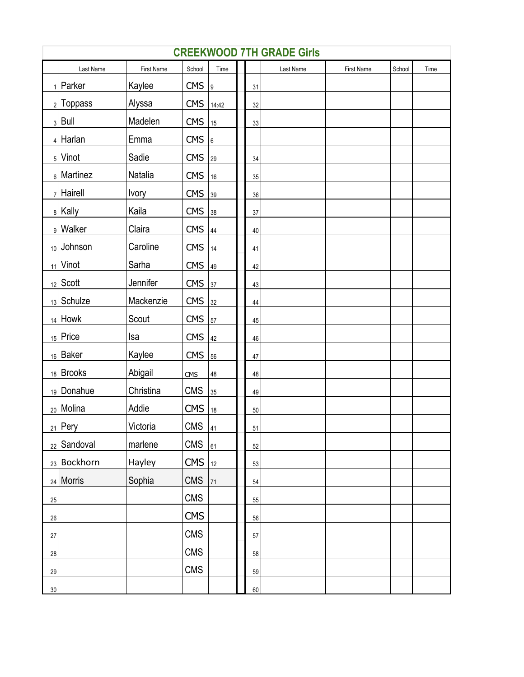|        | <b>CREEKWOOD 7TH GRADE Girls</b> |              |                     |                |  |        |           |            |        |      |  |  |  |  |
|--------|----------------------------------|--------------|---------------------|----------------|--|--------|-----------|------------|--------|------|--|--|--|--|
|        | Last Name                        | First Name   | School              | Time           |  |        | Last Name | First Name | School | Time |  |  |  |  |
|        | $_1$   Parker                    | Kaylee       | $CMS$  9            |                |  | 31     |           |            |        |      |  |  |  |  |
|        | $2$ Toppass                      | Alyssa       | CMS 14:42           |                |  | 32     |           |            |        |      |  |  |  |  |
|        | $3$ Bull                         | Madelen      | <b>CMS</b>          | $\vert$ 15     |  | 33     |           |            |        |      |  |  |  |  |
|        | $4$ Harlan                       | Emma         | CMS <sub>6</sub>    |                |  |        |           |            |        |      |  |  |  |  |
|        | $5$ Vinot                        | Sadie        | <b>CMS</b>          | $\frac{29}{2}$ |  | 34     |           |            |        |      |  |  |  |  |
|        | $_6$ Martinez                    | Natalia      | <b>CMS</b>          | 16             |  | 35     |           |            |        |      |  |  |  |  |
|        | $7$ Hairell                      | <b>lvory</b> | $CMS$ 39            |                |  | 36     |           |            |        |      |  |  |  |  |
|        | 8 Kally                          | Kaila        | <b>CMS</b>          | 38             |  | 37     |           |            |        |      |  |  |  |  |
|        | 9 Walker                         | Claira       | $CMS  _{44}$        |                |  | 40     |           |            |        |      |  |  |  |  |
|        | 10 Johnson                       | Caroline     | CMS $14$            |                |  | 41     |           |            |        |      |  |  |  |  |
|        | $_{11}$ Vinot                    | Sarha        | $CMS$  49           |                |  | 42     |           |            |        |      |  |  |  |  |
|        | $_{12}$ Scott                    | Jennifer     | <b>CMS</b>          | 37             |  | 43     |           |            |        |      |  |  |  |  |
|        | $_{13}$ Schulze                  | Mackenzie    | <b>CMS</b>          | 32             |  | 44     |           |            |        |      |  |  |  |  |
|        | $_{14}$ Howk                     | Scout        | <b>CMS</b>          | 57             |  | 45     |           |            |        |      |  |  |  |  |
|        | $15$ Price                       | Isa          | <b>CMS</b>          | 42             |  | 46     |           |            |        |      |  |  |  |  |
|        | 16 Baker                         | Kaylee       | <b>CMS</b>          | 56             |  | 47     |           |            |        |      |  |  |  |  |
|        | 18 Brooks                        | Abigail      | <b>CMS</b>          | 48             |  | 48     |           |            |        |      |  |  |  |  |
|        | 19 Donahue                       | Christina    | <b>CMS</b>          | 35             |  | 49     |           |            |        |      |  |  |  |  |
|        | <sub>20</sub> Molina             | Addie        | <b>CMS</b>          | 18             |  | $50\,$ |           |            |        |      |  |  |  |  |
|        | $_{21}$ Pery                     | Victoria     | $CMS$ $41$          |                |  | 51     |           |            |        |      |  |  |  |  |
|        | $_{22}$ Sandoval                 | marlene      | <b>CMS</b>          | 61             |  | 52     |           |            |        |      |  |  |  |  |
|        | 23 Bockhorn                      | Hayley       | $CMS$ <sub>12</sub> |                |  | 53     |           |            |        |      |  |  |  |  |
|        | 24 Morris                        | Sophia       | <b>CMS</b>          | $\vert$ 71     |  | 54     |           |            |        |      |  |  |  |  |
| 25     |                                  |              | <b>CMS</b>          |                |  | 55     |           |            |        |      |  |  |  |  |
| 26     |                                  |              | <b>CMS</b>          |                |  | 56     |           |            |        |      |  |  |  |  |
| 27     |                                  |              | <b>CMS</b>          |                |  | 57     |           |            |        |      |  |  |  |  |
| 28     |                                  |              | <b>CMS</b>          |                |  | 58     |           |            |        |      |  |  |  |  |
| 29     |                                  |              | <b>CMS</b>          |                |  | 59     |           |            |        |      |  |  |  |  |
| $30\,$ |                                  |              |                     |                |  | 60     |           |            |        |      |  |  |  |  |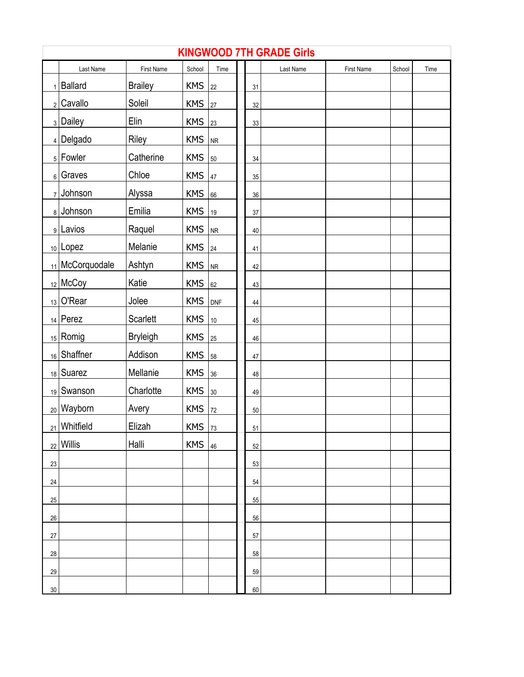|                | <b>KINGWOOD 7TH GRADE Girls</b> |                 |            |                |  |        |           |            |        |      |  |  |  |  |
|----------------|---------------------------------|-----------------|------------|----------------|--|--------|-----------|------------|--------|------|--|--|--|--|
|                | Last Name                       | First Name      | School     | Time           |  |        | Last Name | First Name | School | Time |  |  |  |  |
| $\mathbf{1}$   | <b>Ballard</b>                  | <b>Brailey</b>  | <b>KMS</b> | 22             |  | 31     |           |            |        |      |  |  |  |  |
| 2              | Cavallo                         | Soleil          | <b>KMS</b> | 27             |  | $32\,$ |           |            |        |      |  |  |  |  |
| 3              | Dailey                          | Elin            | <b>KMS</b> | 23             |  | 33     |           |            |        |      |  |  |  |  |
|                | $_4$ Delgado                    | Riley           | <b>KMS</b> | N <sub>R</sub> |  |        |           |            |        |      |  |  |  |  |
|                | $5$ Fowler                      | Catherine       | <b>KMS</b> | 50             |  | 34     |           |            |        |      |  |  |  |  |
| 6 <sup>1</sup> | Graves                          | Chloe           | <b>KMS</b> | 47             |  | 35     |           |            |        |      |  |  |  |  |
| 7              | Johnson                         | Alyssa          | <b>KMS</b> | 66             |  | $36\,$ |           |            |        |      |  |  |  |  |
|                | 8 Johnson                       | Emilia          | <b>KMS</b> | 19             |  | 37     |           |            |        |      |  |  |  |  |
|                | 9 Lavios                        | Raquel          | <b>KMS</b> | <b>NR</b>      |  | $40\,$ |           |            |        |      |  |  |  |  |
|                | $_{10}$ Lopez                   | Melanie         | <b>KMS</b> | 24             |  | 41     |           |            |        |      |  |  |  |  |
|                | 11 McCorquodale                 | Ashtyn          | <b>KMS</b> | NR             |  | 42     |           |            |        |      |  |  |  |  |
|                | $_{12}$ McCoy                   | Katie           | <b>KMS</b> | 62             |  | 43     |           |            |        |      |  |  |  |  |
| 13             | O'Rear                          | Jolee           | <b>KMS</b> | <b>DNF</b>     |  | 44     |           |            |        |      |  |  |  |  |
|                | $14$ Perez                      | Scarlett        | <b>KMS</b> | 10             |  | 45     |           |            |        |      |  |  |  |  |
|                | $15$ Romig                      | <b>Bryleigh</b> | <b>KMS</b> | 25             |  | 46     |           |            |        |      |  |  |  |  |
| 16             | Shaffner                        | Addison         | <b>KMS</b> | 58             |  | 47     |           |            |        |      |  |  |  |  |
| 18             | Suarez                          | Mellanie        | <b>KMS</b> | 36             |  | 48     |           |            |        |      |  |  |  |  |
| 19             | Swanson                         | Charlotte       | <b>KMS</b> | 30             |  | 49     |           |            |        |      |  |  |  |  |
|                | <sub>20</sub> Wayborn           | Avery           | <b>KMS</b> | 72             |  | $50\,$ |           |            |        |      |  |  |  |  |
|                | <sub>21</sub> Whitfield         | Elizah          | <b>KMS</b> | 73             |  | 51     |           |            |        |      |  |  |  |  |
| 22             | Willis                          | Halli           | <b>KMS</b> | 46             |  | 52     |           |            |        |      |  |  |  |  |
| 23             |                                 |                 |            |                |  | 53     |           |            |        |      |  |  |  |  |
| 24             |                                 |                 |            |                |  | 54     |           |            |        |      |  |  |  |  |
| 25             |                                 |                 |            |                |  | 55     |           |            |        |      |  |  |  |  |
| 26             |                                 |                 |            |                |  | 56     |           |            |        |      |  |  |  |  |
| $27\,$         |                                 |                 |            |                |  | 57     |           |            |        |      |  |  |  |  |
| $28\,$         |                                 |                 |            |                |  | 58     |           |            |        |      |  |  |  |  |
| 29             |                                 |                 |            |                |  | 59     |           |            |        |      |  |  |  |  |
| $30\,$         |                                 |                 |            |                |  | 60     |           |            |        |      |  |  |  |  |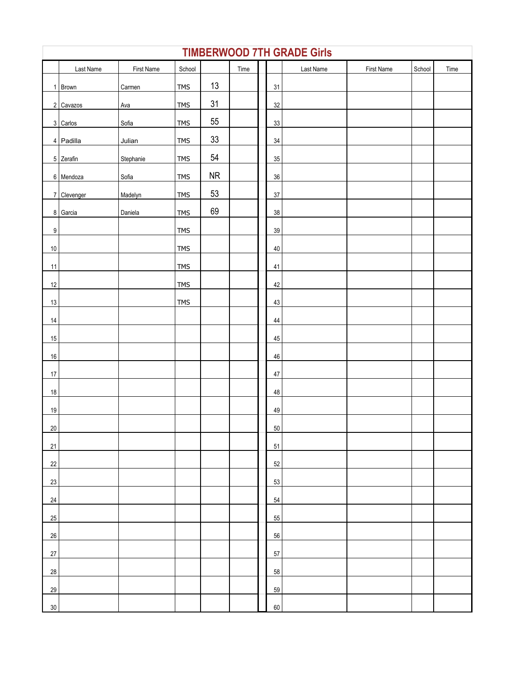|        | <b>TIMBERWOOD 7TH GRADE Girls</b> |            |            |           |      |  |        |           |            |        |      |  |  |
|--------|-----------------------------------|------------|------------|-----------|------|--|--------|-----------|------------|--------|------|--|--|
|        | Last Name                         | First Name | School     |           | Time |  |        | Last Name | First Name | School | Time |  |  |
|        | 1 Brown                           | Carmen     | <b>TMS</b> | $13$      |      |  | 31     |           |            |        |      |  |  |
|        | 2 Cavazos                         | Ava        | <b>TMS</b> | 31        |      |  | 32     |           |            |        |      |  |  |
|        | 3 Carlos                          | Sofia      | <b>TMS</b> | $55\,$    |      |  | 33     |           |            |        |      |  |  |
|        | 4 Padilla                         | Julian     | <b>TMS</b> | $33\,$    |      |  | 34     |           |            |        |      |  |  |
|        | 5 Zerafin                         | Stephanie  | <b>TMS</b> | 54        |      |  | 35     |           |            |        |      |  |  |
|        | 6 Mendoza                         | Sofia      | <b>TMS</b> | <b>NR</b> |      |  | 36     |           |            |        |      |  |  |
|        | 7 Clevenger                       | Madelyn    | <b>TMS</b> | 53        |      |  | 37     |           |            |        |      |  |  |
|        | 8 Garcia                          | Daniela    | <b>TMS</b> | 69        |      |  | 38     |           |            |        |      |  |  |
| $9\,$  |                                   |            | <b>TMS</b> |           |      |  | 39     |           |            |        |      |  |  |
| 10     |                                   |            | <b>TMS</b> |           |      |  | 40     |           |            |        |      |  |  |
| 11     |                                   |            | <b>TMS</b> |           |      |  | 41     |           |            |        |      |  |  |
| 12     |                                   |            | <b>TMS</b> |           |      |  | 42     |           |            |        |      |  |  |
| 13     |                                   |            | <b>TMS</b> |           |      |  | 43     |           |            |        |      |  |  |
| 14     |                                   |            |            |           |      |  | 44     |           |            |        |      |  |  |
| 15     |                                   |            |            |           |      |  | 45     |           |            |        |      |  |  |
| 16     |                                   |            |            |           |      |  | 46     |           |            |        |      |  |  |
| 17     |                                   |            |            |           |      |  | 47     |           |            |        |      |  |  |
| 18     |                                   |            |            |           |      |  | 48     |           |            |        |      |  |  |
| $19$   |                                   |            |            |           |      |  | 49     |           |            |        |      |  |  |
| 20     |                                   |            |            |           |      |  | $50\,$ |           |            |        |      |  |  |
| 21     |                                   |            |            |           |      |  | 51     |           |            |        |      |  |  |
| 22     |                                   |            |            |           |      |  | 52     |           |            |        |      |  |  |
| 23     |                                   |            |            |           |      |  | 53     |           |            |        |      |  |  |
| 24     |                                   |            |            |           |      |  | 54     |           |            |        |      |  |  |
| 25     |                                   |            |            |           |      |  | 55     |           |            |        |      |  |  |
| 26     |                                   |            |            |           |      |  | 56     |           |            |        |      |  |  |
| $27\,$ |                                   |            |            |           |      |  | 57     |           |            |        |      |  |  |
| $28\,$ |                                   |            |            |           |      |  | 58     |           |            |        |      |  |  |
| 29     |                                   |            |            |           |      |  | 59     |           |            |        |      |  |  |
| $30\,$ |                                   |            |            |           |      |  | 60     |           |            |        |      |  |  |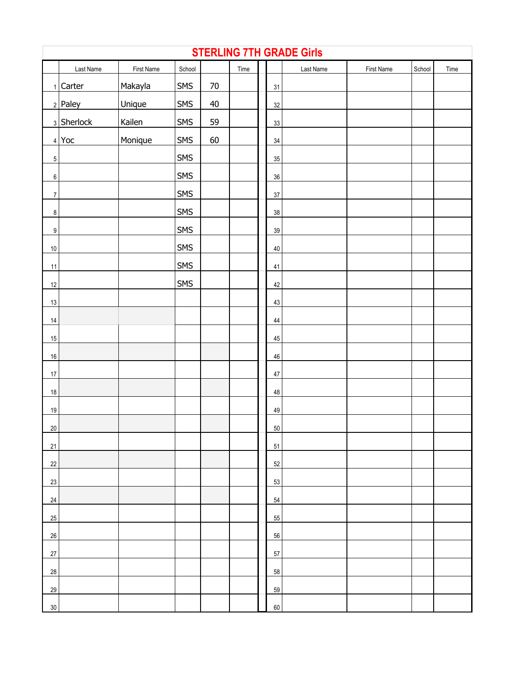| <b>STERLING 7TH GRADE Girls</b> |            |            |            |        |      |  |        |           |            |        |      |  |
|---------------------------------|------------|------------|------------|--------|------|--|--------|-----------|------------|--------|------|--|
|                                 | Last Name  | First Name | School     |        | Time |  |        | Last Name | First Name | School | Time |  |
|                                 | 1 Carter   | Makayla    | SMS        | $70\,$ |      |  | 31     |           |            |        |      |  |
|                                 | $2$ Paley  | Unique     | SMS        | 40     |      |  | 32     |           |            |        |      |  |
|                                 | 3 Sherlock | Kailen     | SMS        | 59     |      |  | 33     |           |            |        |      |  |
|                                 | $4$ Yoc    | Monique    | <b>SMS</b> | 60     |      |  | 34     |           |            |        |      |  |
| $\overline{5}$                  |            |            | <b>SMS</b> |        |      |  | 35     |           |            |        |      |  |
| $\,6\,$                         |            |            | <b>SMS</b> |        |      |  | $36\,$ |           |            |        |      |  |
| $\overline{7}$                  |            |            | <b>SMS</b> |        |      |  | $37\,$ |           |            |        |      |  |
| $\bf 8$                         |            |            | <b>SMS</b> |        |      |  | 38     |           |            |        |      |  |
| $\boldsymbol{9}$                |            |            | <b>SMS</b> |        |      |  | 39     |           |            |        |      |  |
| 10                              |            |            | <b>SMS</b> |        |      |  | 40     |           |            |        |      |  |
| 11                              |            |            | <b>SMS</b> |        |      |  | 41     |           |            |        |      |  |
| 12                              |            |            | <b>SMS</b> |        |      |  | 42     |           |            |        |      |  |
| 13                              |            |            |            |        |      |  | 43     |           |            |        |      |  |
| $14$                            |            |            |            |        |      |  | 44     |           |            |        |      |  |
| 15                              |            |            |            |        |      |  | 45     |           |            |        |      |  |
| $16\,$                          |            |            |            |        |      |  | 46     |           |            |        |      |  |
| $17\,$                          |            |            |            |        |      |  | 47     |           |            |        |      |  |
| 18                              |            |            |            |        |      |  | 48     |           |            |        |      |  |
| 19                              |            |            |            |        |      |  | 49     |           |            |        |      |  |
| 20                              |            |            |            |        |      |  | 50     |           |            |        |      |  |
| 21                              |            |            |            |        |      |  | 51     |           |            |        |      |  |
| $22\,$                          |            |            |            |        |      |  | 52     |           |            |        |      |  |
| 23                              |            |            |            |        |      |  | 53     |           |            |        |      |  |
| $24\,$                          |            |            |            |        |      |  | 54     |           |            |        |      |  |
| 25                              |            |            |            |        |      |  | 55     |           |            |        |      |  |
| $26\,$                          |            |            |            |        |      |  | 56     |           |            |        |      |  |
| $27\,$                          |            |            |            |        |      |  | 57     |           |            |        |      |  |
| $28\,$                          |            |            |            |        |      |  | 58     |           |            |        |      |  |
| 29                              |            |            |            |        |      |  | 59     |           |            |        |      |  |
| $30\,$                          |            |            |            |        |      |  | 60     |           |            |        |      |  |

 $\Gamma$